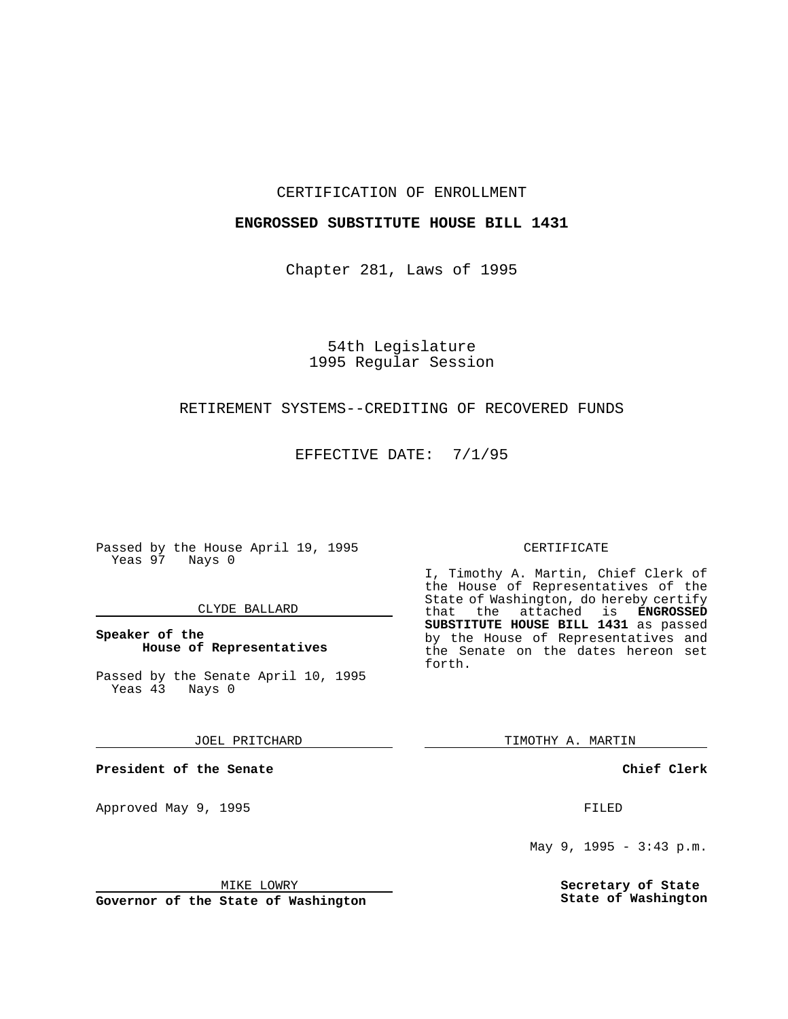#### CERTIFICATION OF ENROLLMENT

### **ENGROSSED SUBSTITUTE HOUSE BILL 1431**

Chapter 281, Laws of 1995

# 54th Legislature 1995 Regular Session

### RETIREMENT SYSTEMS--CREDITING OF RECOVERED FUNDS

EFFECTIVE DATE: 7/1/95

Passed by the House April 19, 1995 Yeas 97 Nays 0

#### CLYDE BALLARD

### **Speaker of the House of Representatives**

Passed by the Senate April 10, 1995<br>Yeas 43 Nays 0 Yeas 43

JOEL PRITCHARD

**President of the Senate**

Approved May 9, 1995 **FILED** 

#### MIKE LOWRY

**Governor of the State of Washington**

#### CERTIFICATE

I, Timothy A. Martin, Chief Clerk of the House of Representatives of the State of Washington, do hereby certify<br>that the attached is **ENGROSSED** the attached is **ENGROSSED SUBSTITUTE HOUSE BILL 1431** as passed by the House of Representatives and the Senate on the dates hereon set forth.

TIMOTHY A. MARTIN

**Chief Clerk**

May 9, 1995 - 3:43 p.m.

**Secretary of State State of Washington**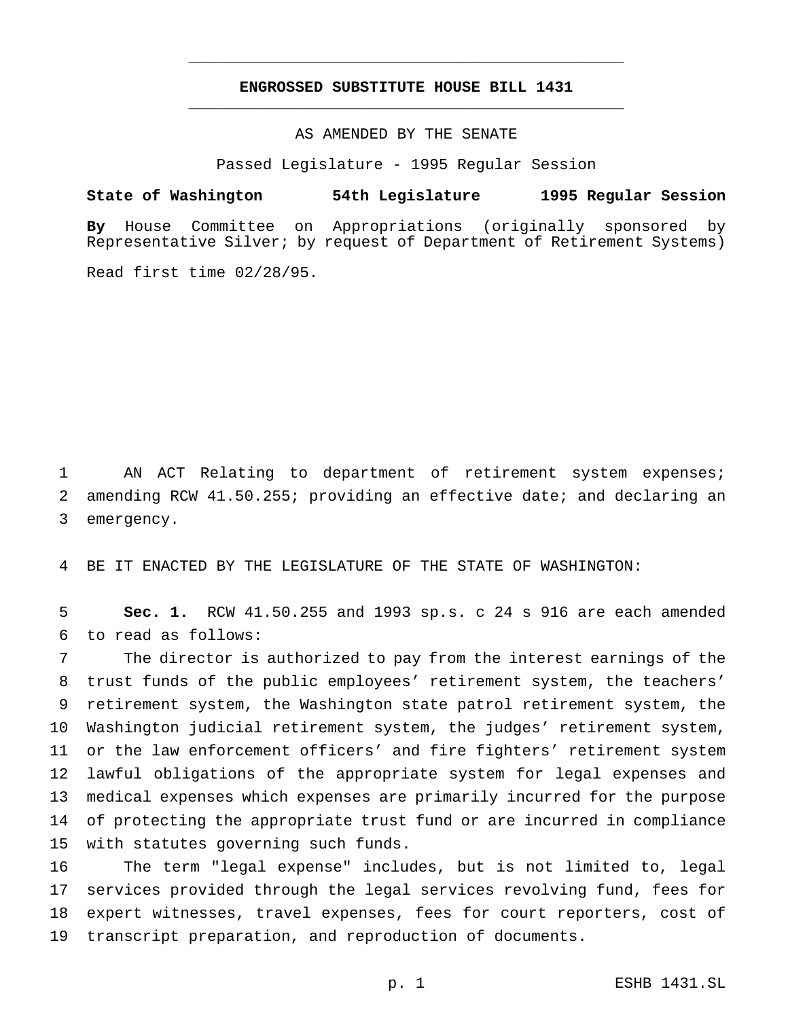## **ENGROSSED SUBSTITUTE HOUSE BILL 1431** \_\_\_\_\_\_\_\_\_\_\_\_\_\_\_\_\_\_\_\_\_\_\_\_\_\_\_\_\_\_\_\_\_\_\_\_\_\_\_\_\_\_\_\_\_\_\_

\_\_\_\_\_\_\_\_\_\_\_\_\_\_\_\_\_\_\_\_\_\_\_\_\_\_\_\_\_\_\_\_\_\_\_\_\_\_\_\_\_\_\_\_\_\_\_

AS AMENDED BY THE SENATE

Passed Legislature - 1995 Regular Session

#### **State of Washington 54th Legislature 1995 Regular Session**

**By** House Committee on Appropriations (originally sponsored by Representative Silver; by request of Department of Retirement Systems)

Read first time 02/28/95.

 AN ACT Relating to department of retirement system expenses; amending RCW 41.50.255; providing an effective date; and declaring an emergency.

BE IT ENACTED BY THE LEGISLATURE OF THE STATE OF WASHINGTON:

 **Sec. 1.** RCW 41.50.255 and 1993 sp.s. c 24 s 916 are each amended to read as follows:

 The director is authorized to pay from the interest earnings of the trust funds of the public employees' retirement system, the teachers' retirement system, the Washington state patrol retirement system, the Washington judicial retirement system, the judges' retirement system, or the law enforcement officers' and fire fighters' retirement system lawful obligations of the appropriate system for legal expenses and medical expenses which expenses are primarily incurred for the purpose of protecting the appropriate trust fund or are incurred in compliance with statutes governing such funds.

 The term "legal expense" includes, but is not limited to, legal services provided through the legal services revolving fund, fees for expert witnesses, travel expenses, fees for court reporters, cost of transcript preparation, and reproduction of documents.